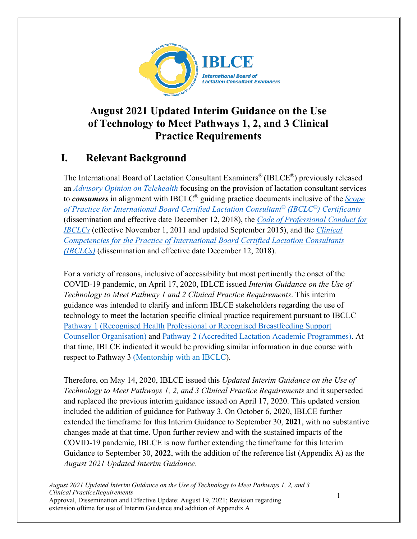

## **August 2021 Updated Interim Guidance on the Use of Technology to Meet Pathways 1, 2, and 3 Clinical Practice Requirements**

# **I. Relevant Background**

The International Board of Lactation Consultant Examiners® (IBLCE®) previously released an *[Advisory Opinion on Telehealth](https://iblce.org/wp-content/uploads/2020/04/2020_April_IBLCE_Advisory_Opinion_Telehealth_FINAL.pdf)* focusing on the provision of lactation consultant services to *consumers* in alignment with IBCLC® guiding practice documents inclusive of the *[Scope](https://iblce.org/wp-content/uploads/2018/12/scope-of-practice-2018.pdf) [of Practice for International Board Certified Lactation Consultant®](https://iblce.org/wp-content/uploads/2018/12/scope-of-practice-2018.pdf) (IBCLC®) Certificants* (dissemination and effective date December 12, 2018), the *[Code of Professional Conduct for](https://iblce.org/wp-content/uploads/2017/05/code-of-professional-conduct.pdf) [IBCLCs](https://iblce.org/wp-content/uploads/2017/05/code-of-professional-conduct.pdf)* (effective November 1, 2011 and updated September 2015), and the *[Clinical](https://iblce.org/wp-content/uploads/2018/12/clinical-competencies-2018.pdf) [Competencies for the Practice of International Board Certified Lactation Consultants](https://iblce.org/wp-content/uploads/2018/12/clinical-competencies-2018.pdf) [\(IBCLCs\)](https://iblce.org/wp-content/uploads/2018/12/clinical-competencies-2018.pdf)* (dissemination and effective date December 12, 2018).

For a variety of reasons, inclusive of accessibility but most pertinently the onset of the COVID- 19 pandemic, on April 17, 2020, IBLCE issued *Interim Guidance on the Use of Technology to Meet Pathway 1 and 2 Clinical Practice Requirements*. This interim guidance was intended to clarify and inform IBLCE stakeholders regarding the use of technology to meet the lactation specific clinical practice requirement pursuant to IBCLC [Pathway 1](https://iblce.org/step-1-prepare-for-ibclc-certification/lactation-specific-clinical-experience/pathway-1/) [\(Recognised Health](https://iblce.org/step-1-prepare-for-ibclc-certification/lactation-specific-clinical-experience/pathway-1/) [Professional or Recognised Breastfeeding Support](https://iblce.org/step-1-prepare-for-ibclc-certification/lactation-specific-clinical-experience/pathway-1/)  [Counsellor](https://iblce.org/step-1-prepare-for-ibclc-certification/lactation-specific-clinical-experience/pathway-1/) [Organisation\) a](https://iblce.org/step-1-prepare-for-ibclc-certification/lactation-specific-clinical-experience/pathway-1/)nd [Pathway 2 \(Accredited Lactation Academic Programmes\).](https://iblce.org/step-1-prepare-for-ibclc-certification/lactation-specific-clinical-experience/pathway-2-accredited-academic-programs/) At that time, IBLCE indicated it would be providing similar information in due course with respect to Pathway 3 [\(Mentorship with an IBCLC\).](https://iblce.org/step-1-prepare-for-ibclc-certification/lactation-specific-clinical-experience/pathway-3-mentorship/)

Therefore, on May 14, 2020, IBLCE issued this *Updated Interim Guidance on the Use of Technology to Meet Pathways 1, 2, and 3 Clinical Practice Requirements* and it superseded and replaced the previous interim guidance issued on April 17, 2020. This updated version included the addition of guidance for Pathway 3. On October 6, 2020, IBLCE further extended the timeframe for this Interim Guidance to September 30, **2021**, with no substantive changes made at that time. Upon further review and with the sustained impacts of the COVID-19 pandemic, IBLCE is now further extending the timeframe for this Interim Guidance to September 30, **2022**, with the addition of the reference list (Appendix A) as the *August 2021 Updated Interim Guidance*.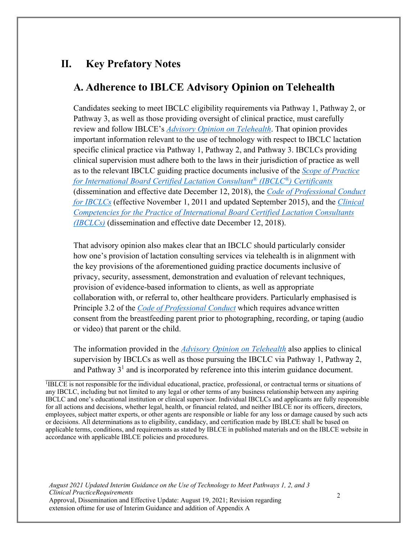#### **II. Key Prefatory Notes**

#### **A. Adherence to IBLCE Advisory Opinion on Telehealth**

Candidates seeking to meet IBCLC eligibility requirements via Pathway 1, Pathway 2, or Pathway 3, as well as those providing oversight of clinical practice, must carefully review and follow IBLCE's *[Advisory Opinion on Telehealth](https://iblce.org/wp-content/uploads/2020/04/2020_April_IBLCE_Advisory_Opinion_Telehealth_FINAL.pdf)*. That opinion provides important information relevant to the use of technology with respect to IBCLC lactation specific clinical practice via Pathway 1, Pathway 2, and Pathway 3. IBCLCs providing clinical supervision must adhere both to the laws in their jurisdiction of practice as well as to the relevant IBCLC guiding practice documents inclusive of the *[Scope of Practice](https://iblce.org/wp-content/uploads/2018/12/scope-of-practice-2018.pdf) [for International Board Certified Lactation Consultant®](https://iblce.org/wp-content/uploads/2018/12/scope-of-practice-2018.pdf) (IBCLC®) Certificants* (dissemination and effective date December 12, 2018), the *[Code of Professional Conduct](https://iblce.org/wp-content/uploads/2017/05/code-of-professional-conduct.pdf) [for IBCLCs](https://iblce.org/wp-content/uploads/2017/05/code-of-professional-conduct.pdf)* (effective November 1, 2011 and updated September 2015), and the *[Clinical](https://iblce.org/wp-content/uploads/2018/12/clinical-competencies-2018.pdf) [Competencies for the Practice of International Board Certified Lactation Consultants](https://iblce.org/wp-content/uploads/2018/12/clinical-competencies-2018.pdf) [\(IBCLCs\)](https://iblce.org/wp-content/uploads/2018/12/clinical-competencies-2018.pdf)* (dissemination and effective date December 12, 2018).

That advisory opinion also makes clear that an IBCLC should particularly consider how one's provision of lactation consulting services via telehealth is in alignment with the key provisions of the aforementioned guiding practice documents inclusive of privacy, security, assessment, demonstration and evaluation of relevant techniques, provision of evidence-based information to clients, as well as appropriate collaboration with, or referral to, other healthcare providers. Particularly emphasised is Principle 3.2 of the *[Code of Professional Conduct](https://iblce.org/wp-content/uploads/2017/05/code-of-professional-conduct.pdf)* which requires advance written consent from the breastfeeding parent prior to photographing, recording, or taping (audio or video) that parent or the child.

The information provided in the *[Advisory Opinion on Telehealth](https://iblce.org/wp-content/uploads/2020/04/2020_April_IBLCE_Advisory_Opinion_Telehealth_FINAL.pdf)* also applies to clinical supervision by IBCLCs as well as those pursuing the IBCLC via Pathway 1, Pathway 2, and Pathway  $3<sup>1</sup>$  and is incorporated by reference into this interim guidance document.

<span id="page-1-0"></span><sup>1</sup>IBLCE is not responsible for the individual educational, practice, professional, or contractual terms or situations of any IBCLC, including but not limited to any legal or other terms of any business relationship between any aspiring IBCLC and one's educational institution or clinical supervisor. Individual IBCLCs and applicants are fully responsible for all actions and decisions, whether legal, health, or financial related, and neither IBLCE nor its officers, directors, employees, subject matter experts, or other agents are responsible or liable for any loss or damage caused by such acts or decisions. All determinations as to eligibility, candidacy, and certification made by IBLCE shall be based on applicable terms, conditions, and requirements as stated by IBLCE in published materials and on the IBLCE website in accordance with applicable IBLCE policies and procedures.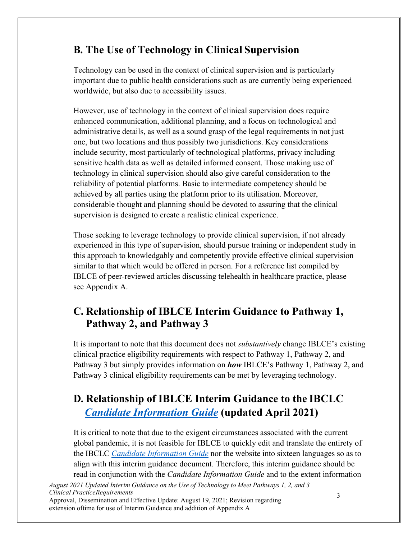# **B. The Use of Technology in Clinical Supervision**

Technology can be used in the context of clinical supervision and is particularly important due to public health considerations such as are currently being experienced worldwide, but also due to accessibility issues.

However, use of technology in the context of clinical supervision does require enhanced communication, additional planning, and a focus on technological and administrative details, as well as a sound grasp of the legal requirements in not just one, but two locations and thus possibly two jurisdictions. Key considerations include security, most particularly of technological platforms, privacy including sensitive health data as well as detailed informed consent. Those making use of technology in clinical supervision should also give careful consideration to the reliability of potential platforms. Basic to intermediate competency should be achieved by all parties using the platform prior to its utilisation. Moreover, considerable thought and planning should be devoted to assuring that the clinical supervision is designed to create a realistic clinical experience.

Those seeking to leverage technology to provide clinical supervision, if not already experienced in this type of supervision, should pursue training or independent study in this approach to knowledgably and competently provide effective clinical supervision similar to that which would be offered in person. For a reference list compiled by IBLCE of peer-reviewed articles discussing telehealth in healthcare practice, please see Appendix A.

## **C. Relationship of IBLCE Interim Guidance to Pathway 1, Pathway 2, and Pathway 3**

It is important to note that this document does not *substantively* change IBLCE's existing clinical practice eligibility requirements with respect to Pathway 1, Pathway 2, and Pathway 3 but simply provides information on *how* IBLCE's Pathway 1, Pathway 2, and Pathway 3 clinical eligibility requirements can be met by leveraging technology.

# **D. Relationship of IBLCE Interim Guidance to the IBCLC**  *Candidate [Information](https://iblce.org/wp-content/uploads/2021/04/2021_April_22_Candidate-Information-Guide_ENGLISH.pdf) [Guide](https://iblce.org/wp-content/uploads/2021/04/2021_April_22_Candidate-Information-Guide_ENGLISH.pdf)* **(updated April 2021)**

It is critical to note that due to the exigent circumstances associated with the current global pandemic, it is not feasible for IBLCE to quickly edit and translate the entirety of the IBCLC *[Candidate Information Guide](https://iblce.org/wp-content/uploads/2021/04/2021_April_22_Candidate-Information-Guide_ENGLISH.pdf)* nor the website into sixteen languages so as to align with this interim guidance document. Therefore, this interim guidance should be read in conjunction with the *Candidate Information Guide* and to the extent information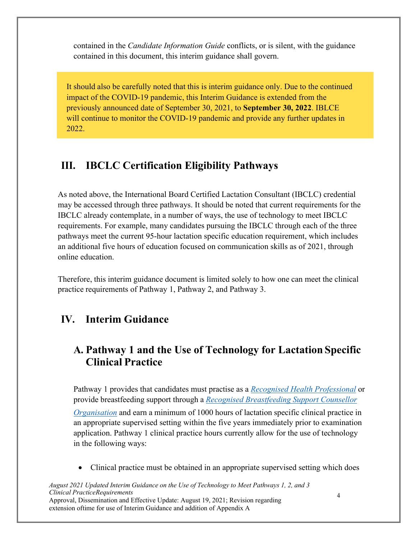contained in the *Candidate Information Guide* conflicts, or is silent, with the guidance contained in this document, this interim guidance shall govern.

It should also be carefully noted that this is interim guidance only. Due to the continued impact of the COVID-19 pandemic, this Interim Guidance is extended from the previously announced date of September 30, 2021, to **September 30, 2022**. IBLCE will continue to monitor the COVID-19 pandemic and provide any further updates in 2022.

## **III. IBCLC Certification Eligibility Pathways**

As noted above, the International Board Certified Lactation Consultant (IBCLC) credential may be accessed through three pathways. It should be noted that current requirements for the IBCLC already contemplate, in a number of ways, the use of technology to meet IBCLC requirements. For example, many candidates pursuing the IBCLC through each of the three pathways meet the current 95-hour lactation specific education requirement, which includes an additional five hours of education focused on communication skills as of 2021, through online education.

Therefore, this interim guidance document is limited solely to how one can meet the clinical practice requirements of Pathway 1, Pathway 2, and Pathway 3.

#### **IV. Interim Guidance**

### **A. Pathway 1 and the Use of Technology for Lactation Specific Clinical Practice**

Pathway 1 provides that candidates must practise as a *[Recognised Health Professional](https://iblce.org/wp-content/uploads/2017/05/recognised-health-professions.pdf)* or provide breastfeeding support through a *[Recognised Breastfeeding Support Counsellor](https://iblce.org/wp-content/uploads/2021/07/2021_July_recognised-breastfeeding-support-counsellor-organisations_ENGLISH.pdf)*

*[Organisation](https://iblce.org/wp-content/uploads/2019/11/2019_November_recognised-breastfeeding-support-counsellor-organisations_ENGLISH.pdf)* and earn a minimum of 1000 hours of lactation specific clinical practice in an appropriate supervised setting within the five years immediately prior to examination application. Pathway 1 clinical practice hours currently allow for the use of technology in the following ways:

• Clinical practice must be obtained in an appropriate supervised setting which does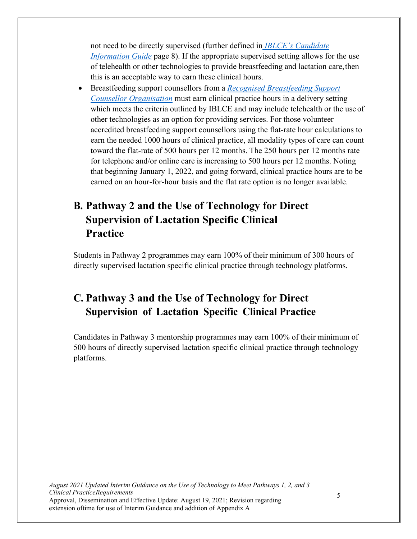not need to be directly supervised (further defined in *[IBLCE's Candidate](https://iblce.org/wp-content/uploads/2021/04/2021_April_22_Candidate-Information-Guide_ENGLISH.pdf) [Information Guide](https://iblce.org/wp-content/uploads/2019/09/2019_September_candidate-information-guide_ENGLISH.pdf)* page 8). If the appropriate supervised setting allows for the use of telehealth or other technologies to provide breastfeeding and lactation care, then this is an acceptable way to earn these clinical hours.

• Breastfeeding support counsellors from a *[Recognised Breastfeeding Suppor](https://iblce.org/wp-content/uploads/2021/07/2021_July_recognised-breastfeeding-support-counsellor-organisations_ENGLISH.pdf)[t](https://iblce.org/wp-content/uploads/2019/11/2019_November_recognised-breastfeeding-support-counsellor-organisations_ENGLISH.pdf) [Counsellor Organisation](https://iblce.org/wp-content/uploads/2019/11/2019_November_recognised-breastfeeding-support-counsellor-organisations_ENGLISH.pdf)* must earn clinical practice hours in a delivery setting which meets the criteria outlined by IBLCE and may include telehealth or the use of other technologies as an option for providing services. For those volunteer accredited breastfeeding support counsellors using the flat-rate hour calculations to earn the needed 1000 hours of clinical practice, all modality types of care can count toward the flat-rate of 500 hours per 12 months. The 250 hours per 12 months rate for telephone and/or online care is increasing to 500 hours per 12 months. Noting that beginning January 1, 2022, and going forward, clinical practice hours are to be earned on an hour-for-hour basis and the flat rate option is no longer available.

## **B. Pathway 2 and the Use of Technology for Direct Supervision of Lactation Specific Clinical Practice**

Students in Pathway 2 programmes may earn 100% of their minimum of 300 hours of directly supervised lactation specific clinical practice through technology platforms.

# **C. Pathway 3 and the Use of Technology for Direct Supervision of Lactation Specific Clinical Practice**

Candidates in Pathway 3 mentorship programmes may earn 100% of their minimum of 500 hours of directly supervised lactation specific clinical practice through technology platforms.